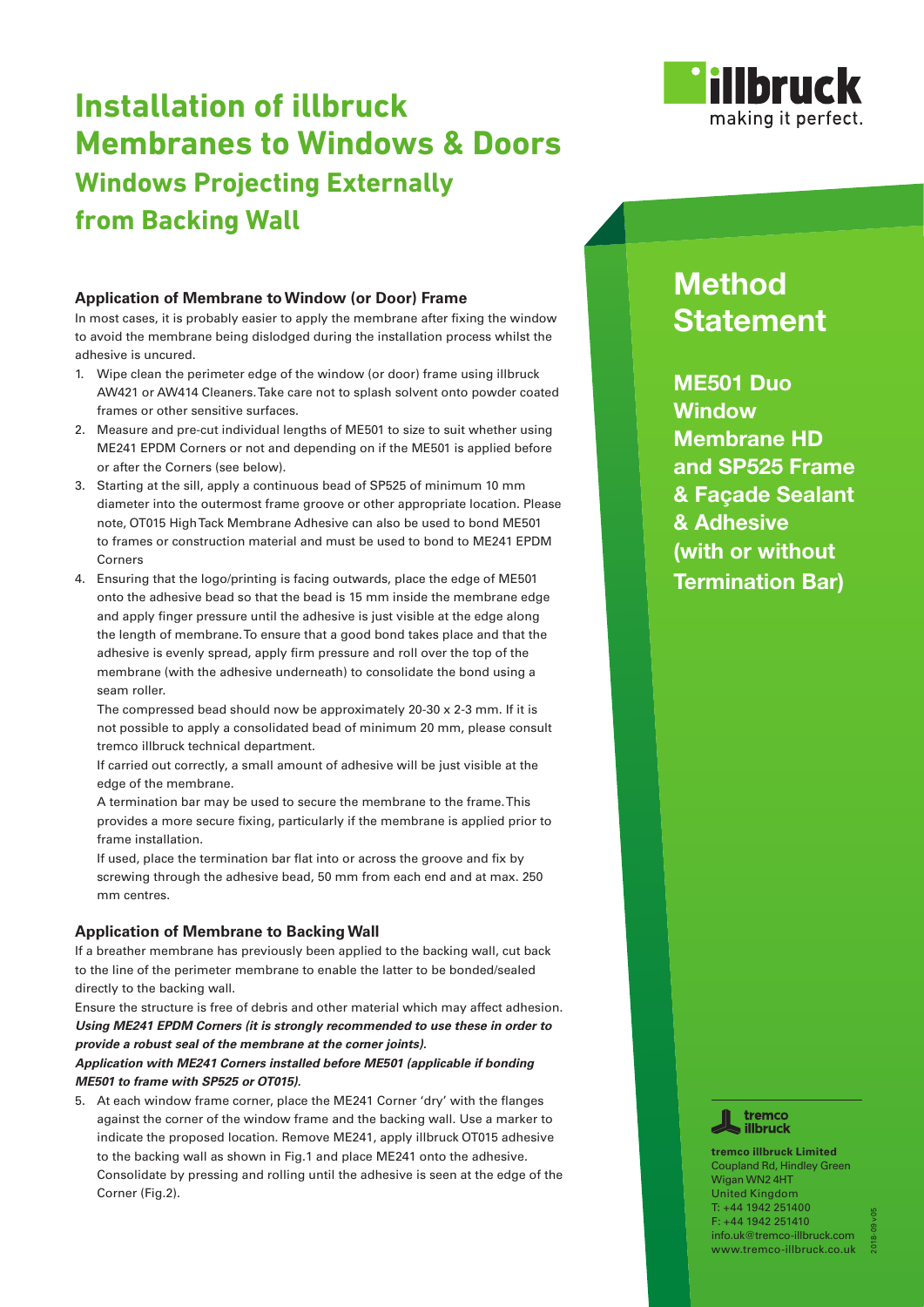

# **Installation of illbruck Membranes to Windows & Doors Windows Projecting Externally from Backing Wall**

### **Application of Membrane to Window (or Door) Frame**

In most cases, it is probably easier to apply the membrane after fixing the window to avoid the membrane being dislodged during the installation process whilst the adhesive is uncured.

- 1. Wipe clean the perimeter edge of the window (or door) frame using illbruck AW421 or AW414 Cleaners. Take care not to splash solvent onto powder coated frames or other sensitive surfaces.
- 2. Measure and pre-cut individual lengths of ME501 to size to suit whether using ME241 EPDM Corners or not and depending on if the ME501 is applied before or after the Corners (see below).
- 3. Starting at the sill, apply a continuous bead of SP525 of minimum 10 mm diameter into the outermost frame groove or other appropriate location. Please note, OT015 High Tack Membrane Adhesive can also be used to bond ME501 to frames or construction material and must be used to bond to ME241 EPDM Corners
- 4. Ensuring that the logo/printing is facing outwards, place the edge of ME501 onto the adhesive bead so that the bead is 15 mm inside the membrane edge and apply finger pressure until the adhesive is just visible at the edge along the length of membrane. To ensure that a good bond takes place and that the adhesive is evenly spread, apply firm pressure and roll over the top of the membrane (with the adhesive underneath) to consolidate the bond using a seam roller.

 The compressed bead should now be approximately 20-30 x 2-3 mm. If it is not possible to apply a consolidated bead of minimum 20 mm, please consult tremco illbruck technical department.

 If carried out correctly, a small amount of adhesive will be just visible at the edge of the membrane.

 A termination bar may be used to secure the membrane to the frame. This provides a more secure fixing, particularly if the membrane is applied prior to frame installation.

 If used, place the termination bar flat into or across the groove and fix by screwing through the adhesive bead, 50 mm from each end and at max. 250 mm centres.

# **Application of Membrane to Backing Wall**

If a breather membrane has previously been applied to the backing wall, cut back to the line of the perimeter membrane to enable the latter to be bonded/sealed directly to the backing wall.

Ensure the structure is free of debris and other material which may affect adhesion. *Using ME241 EPDM Corners (it is strongly recommended to use these in order to provide a robust seal of the membrane at the corner joints).*

# *Application with ME241 Corners installed before ME501 (applicable if bonding ME501 to frame with SP525 or OT015).*

5. At each window frame corner, place the ME241 Corner 'dry' with the flanges against the corner of the window frame and the backing wall. Use a marker to indicate the proposed location. Remove ME241, apply illbruck OT015 adhesive to the backing wall as shown in Fig.1 and place ME241 onto the adhesive. Consolidate by pressing and rolling until the adhesive is seen at the edge of the Corner (Fig.2).

# **Method Statement**

**ME501 Duo Window Membrane HD and SP525 Frame & Façade Sealant & Adhesive (with or without Termination Bar)** 



**tremco illbruck Limited** Coupland Rd, Hindley Green Wigan WN2 4HT United Kingdom T: +44 1942 251400 F: +44 1942 251410 info.uk@tremco-illbruck.com www.tremco-illbruck.co.uk